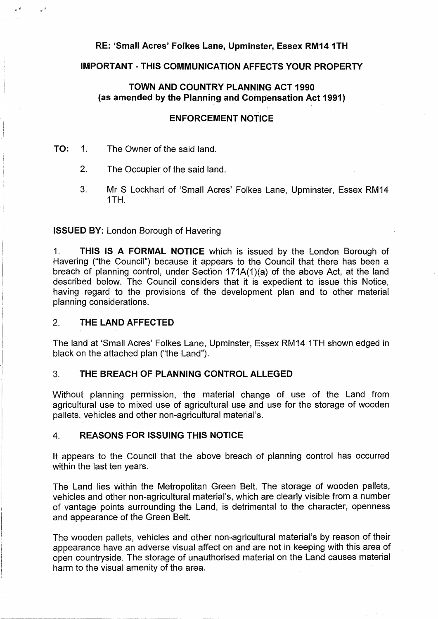# **RE: 'Small Acres' Folkes Lane, Upminster, Essex RM14 1TH**

### **IMPORTANT - THIS COMMUNICATION AFFECTS YOUR PROPERTY**

# **TOWN AND COUNTRY PLANNING ACT 1990 (as amended by the Planning and Compensation Act 1991)**

#### **ENFORCEMENT NOTICE**

#### **TO:** 1. The Owner of the said land.

- 2. The Occupier of the said land.
- 3. Mr S Lockhart of 'Small Acres' Folkes Lane, Upminster, Essex RM14 1TH.

#### **ISSUED BY:** London Borough of Havering

1. **THIS IS A FORMAL NOTICE** which is issued by the London Borough of Havering ("the Council") because it appears to the Council that there has been a breach of planning control, under Section 171A(1 )(a) of the above Act, at the land described below. The Council considers that it is expedient to issue this Notice, having regard to the provisions of the development plan and to other material planning considerations.

# 2. **THE LAND AFFECTED**

The land at 'Small Acres' Folkes Lane, Upminster, Essex RM14 1TH shown edged in black on the attached plan ("the Land").

# 3. **THE BREACH OF PLANNING CONTROL ALLEGED**

Without planning permission, the material change of use of the Land from agricultural use to mixed use of agricultural use and use for the storage of wooden pallets, vehicles and other non-agricultural material's.

### **4. REASONS FOR ISSUING THIS NOTICE**

It appears to the Council that the above breach of planning control has occurred within the last ten years.

The Land lies within the Metropolitan Green Belt. The storage of wooden pallets, vehicles and other non-agricultural material's, which are clearly visible from a number of vantage points surrounding the Land, is detrimental to the character, openness and appearance of the Green Belt.

The wooden pallets, vehicles and other non-agricultural material's by reason of their appearance have an adverse visual affect on and are not in keeping with this area of open countryside. The storage of unauthorised material on the Land causes material harm to the visual amenity of the area.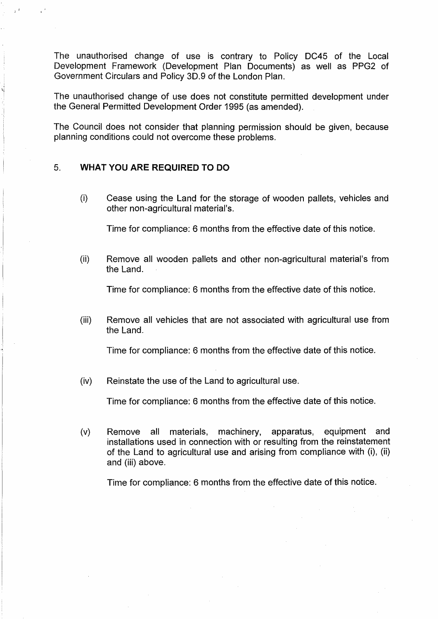The unauthorised change of use is contrary to Policy DC45 of the Local Development Framework (Development Plan Documents) as well as PPG2 of Government Circulars and Policy 3D.9 of the London Plan.

The unauthorised change of use does not constitute permitted development under the General Permitted Development Order 1995 (as amended).

The Council does not consider that planning permission should be given, because planning conditions could not overcome these problems.

### 5. **WHAT YOU ARE REQUIRED TO DO**

l.j

(i) Cease using the Land for the storage of wooden pallets, vehicles and other non-agricultural material's.

Time for compliance: 6 months from the effective date of this notice.

(ii) Remove all wooden pallets and other non-agricultural material's from the Land.

Time for compliance: 6 months from the effective date of this notice.

(iii) Remove all vehicles that are not associated with agricultural use from the Land.

Time for compliance: 6 months from the effective date of this notice.

(iv) Reinstate the use of the Land to agricultural use.

Time for compliance: 6 months from the effective date of this notice.

(v) Remove all materials, machinery, apparatus, equipment and installations used in connection with or resulting from the reinstatement of the Land to agricultural use and arising from compliance with (i), (ii) and (iii) above.

Time for compliance: 6 months from the effective date of this notice.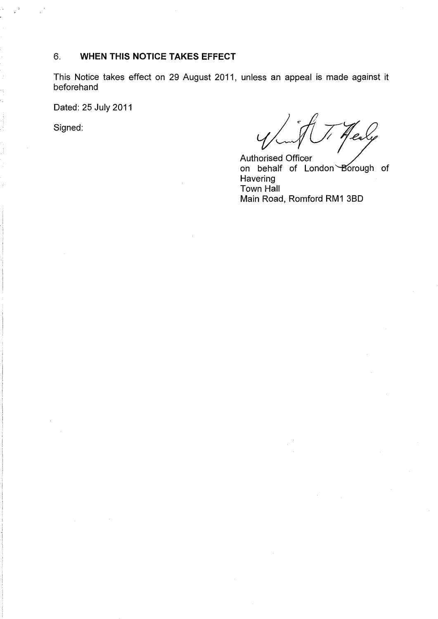# 6. **WHEN THIS NOTICE TAKES EFFECT**

This Notice takes effect on 29 August 2011, unless an appeal is made against it beforehand

Dated: 25 July 2011

Signed: *cryption of the complete of the complete of the flexion of the complete of the complete of the complete of the complete of the complete of the complete of the complete of the complete of the complete of the comple* 

on behalf of London *B*orough of Authorised Officer **Havering** Town Hall Main Road, Romford RM1 3B0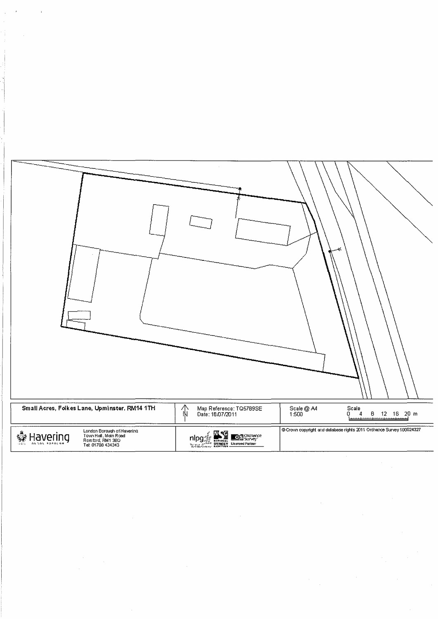

 $\label{eq:2} \frac{1}{2} \sum_{i=1}^n \frac{1}{2} \sum_{j=1}^n \frac{1}{2} \sum_{j=1}^n \frac{1}{2} \sum_{j=1}^n \frac{1}{2} \sum_{j=1}^n \frac{1}{2} \sum_{j=1}^n \frac{1}{2} \sum_{j=1}^n \frac{1}{2} \sum_{j=1}^n \frac{1}{2} \sum_{j=1}^n \frac{1}{2} \sum_{j=1}^n \frac{1}{2} \sum_{j=1}^n \frac{1}{2} \sum_{j=1}^n \frac{1}{2} \sum_{j=1}^n \frac{1}{$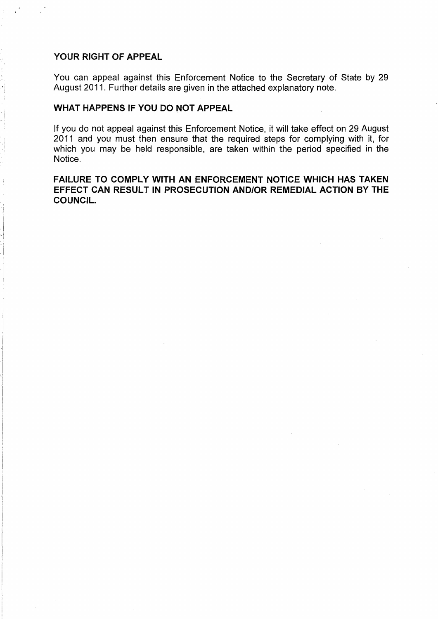### **YOUR RIGHT OF APPEAL**

You can appeal against this Enforcement Notice to the Secretary of State by 29 August 2011. Further details are given in the attached explanatory note.

# **WHAT HAPPENS IF YOU DO NOT APPEAL**

lf you do not appeal against this Enforcement Notice, it will take effect on 29 August 2011 and you must then ensure that the required steps for complying with it, for which you may be held responsible, are taken within the period specified in the Notice.

# **FAILURE TO COMPLY WITH AN ENFORCEMENT NOTICE WHICH HAS TAKEN EFFECT CAN RESULT IN PROSECUTION AND/OR REMEDIAL ACTION BY THE COUNCIL.**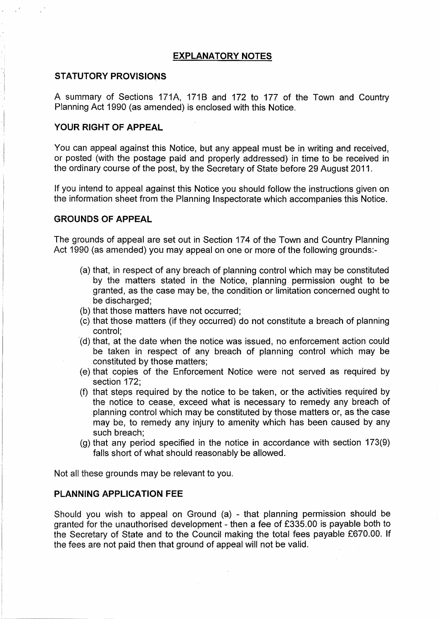# **EXPLANATORY NOTES**

## **STATUTORY PROVISIONS**

A summary of Sections 171A, 171B and 172 to 177 of the Town and Country Planning Act 1990 (as amended) is enclosed with this Notice.

#### **YOUR RIGHT OF APPEAL**

You can appeal against this Notice, but any appeal must be in writing and received, or posted (with the postage paid and properly addressed) in time to be received in the ordinary course of the post, by the Secretary of State before 29 August 2011.

If you intend to appeal against this Notice you should follow the instructions given on the information sheet from the Planning Inspectorate which accompanies this Notice.

# **GROUNDS OF APPEAL**

The grounds of appeal are set out in Section 174 of the Town and Country Planning Act 1990 {as amended) you may appeal on one or more of the following grounds:-

- {a) that, in respect of any breach of planning control which may be constituted by the matters stated in the Notice, planning permission ought to be granted, as the case may be, the condition or limitation concerned ought to be discharged;
- (b) that those matters have not occurred;
- (c) that those matters {if they occurred) do not constitute a breach of planning control;
- ·(d) that, at the date when the notice was issued, no enforcement action could be taken in respect of any breach of planning control which may be constituted by those matters;
- {e) that copies of the Enforcement Notice were not served as required by section 172;
- (f) that steps required by the notice to be taken, or the activities required by the notice to cease, exceed what is necessary to remedy any breach of planning control which may be constituted by those matters or, as the case may be, to remedy any injury to amenity which has been caused by any such breach;
- $(q)$  that any period specified in the notice in accordance with section 173 $(9)$ falls short of what should reasonably be allowed.

Not all these grounds may be relevant to you.

# **PLANNING APPLICATION FEE**

Should you wish to appeal on Ground (a) - that planning permission should be granted for the unauthorised development - then a fee of £335.00 is payable both to the Secretary of State and to the Council making the total fees payable £670.00. If the fees are not paid then that ground of appeal will not be valid.